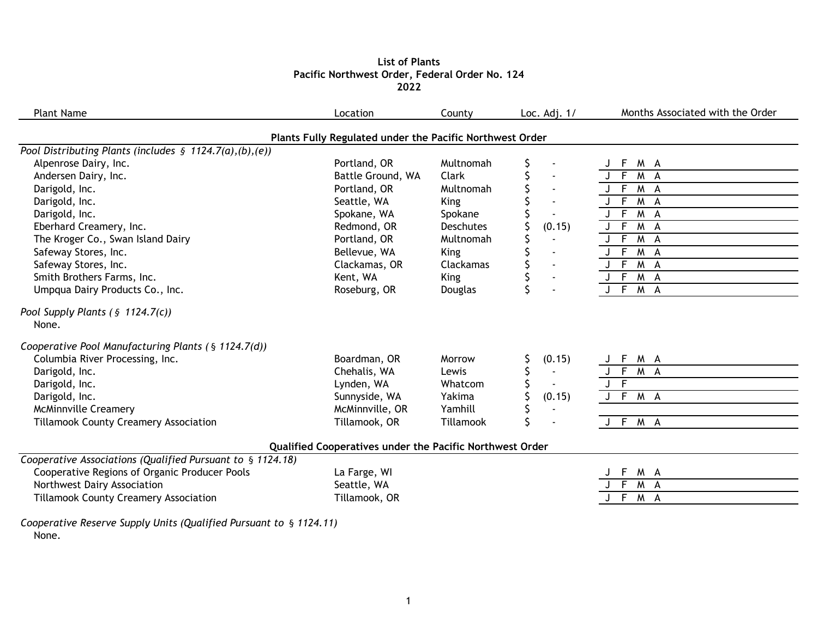### **List of Plants Pacific Northwest Order, Federal Order No. 124 2022**

| <b>Plant Name</b>                                                                         | Location                                                 | County           | Loc. Adj. $1/$ | Months Associated with the Order |
|-------------------------------------------------------------------------------------------|----------------------------------------------------------|------------------|----------------|----------------------------------|
|                                                                                           | Plants Fully Regulated under the Pacific Northwest Order |                  |                |                                  |
| Pool Distributing Plants (includes $\S$ 1124.7(a),(b),(e))                                |                                                          |                  |                |                                  |
| Alpenrose Dairy, Inc.                                                                     | Portland, OR                                             | Multnomah        |                | M A<br>F                         |
| Andersen Dairy, Inc.                                                                      | Battle Ground, WA                                        | Clark            |                | J F<br>M A                       |
| Darigold, Inc.                                                                            | Portland, OR                                             | Multnomah        |                | $\mathsf{F}$<br>M A              |
| Darigold, Inc.                                                                            | Seattle, WA                                              | <b>King</b>      |                | $\overline{F}$<br>M A            |
| Darigold, Inc.                                                                            | Spokane, WA                                              | Spokane          |                | F<br>M A                         |
| Eberhard Creamery, Inc.                                                                   | Redmond, OR                                              | <b>Deschutes</b> | (0.15)         | $\overline{F}$<br>M A            |
| The Kroger Co., Swan Island Dairy                                                         | Portland, OR                                             | Multnomah        |                | $\overline{F}$<br>M A            |
| Safeway Stores, Inc.                                                                      | Bellevue, WA                                             | <b>King</b>      |                | $J$ F<br>M A                     |
| Safeway Stores, Inc.                                                                      | Clackamas, OR                                            | Clackamas        | $\blacksquare$ | F<br>M A                         |
| Smith Brothers Farms, Inc.                                                                | Kent, WA                                                 | <b>King</b>      |                | F.<br>M A                        |
| Umpqua Dairy Products Co., Inc.                                                           | Roseburg, OR                                             | Douglas          |                | J F M A                          |
| None.<br>Cooperative Pool Manufacturing Plants (§ 1124.7(d))                              |                                                          |                  |                |                                  |
|                                                                                           |                                                          |                  |                |                                  |
|                                                                                           |                                                          | Morrow           |                |                                  |
| Columbia River Processing, Inc.                                                           | Boardman, OR<br>Chehalis, WA                             | Lewis            | (0.15)         | M A<br>M A                       |
| Darigold, Inc.                                                                            |                                                          | Whatcom          |                | $\overline{F}$                   |
| Darigold, Inc.<br>Darigold, Inc.                                                          | Lynden, WA<br>Sunnyside, WA                              | Yakima           | (0.15)         | $J$ F M A                        |
| <b>McMinnville Creamery</b>                                                               | McMinnville, OR                                          | Yamhill          |                |                                  |
| <b>Tillamook County Creamery Association</b>                                              | Tillamook, OR                                            | Tillamook        |                | J F M A                          |
|                                                                                           | Qualified Cooperatives under the Pacific Northwest Order |                  |                |                                  |
|                                                                                           |                                                          |                  |                |                                  |
| Cooperative Regions of Organic Producer Pools                                             | La Farge, WI                                             |                  |                | M A<br>F                         |
| Cooperative Associations (Qualified Pursuant to § 1124.18)<br>Northwest Dairy Association | Seattle, WA                                              |                  |                | $\overline{F}$<br>M A            |

*Cooperative Reserve Supply Units (Qualified Pursuant to* § *1124.11)* None.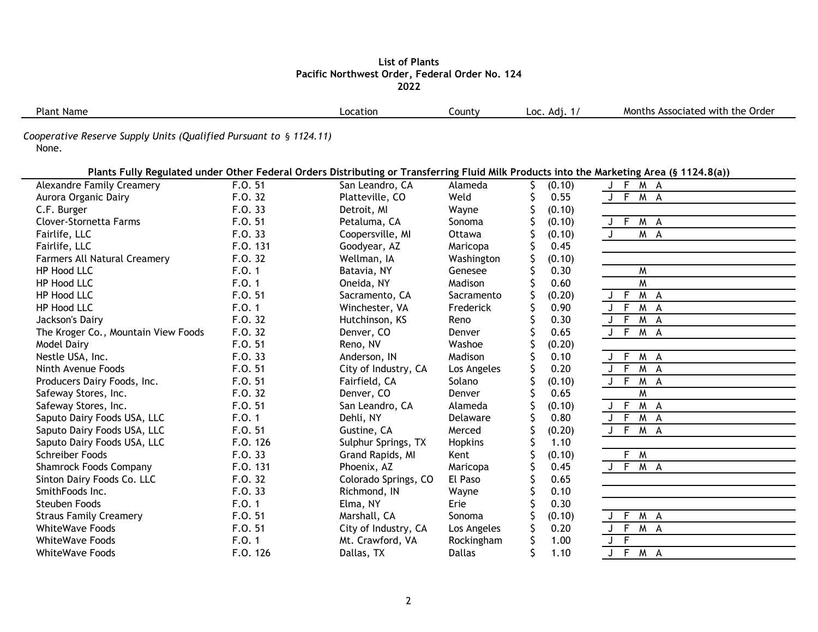#### **List of Plants Pacific Northwest Order, Federal Order No. 124 2022**

| Plant<br>Name | _ocation | ∟ount∨ | . .<br>8 N N<br>LOC<br>ru. | Order<br>Montr<br>the<br>. Associate <sup>,</sup><br>witi |
|---------------|----------|--------|----------------------------|-----------------------------------------------------------|
|               |          |        |                            |                                                           |

*Cooperative Reserve Supply Units (Qualified Pursuant to* § *1124.11)*

None.

|                                     |          |                      |               |        | Plants Fully Regulated under Other Federal Orders Distributing or Transferring Fluid Milk Products into the Marketing Area (§ 1124.8(a)) |
|-------------------------------------|----------|----------------------|---------------|--------|------------------------------------------------------------------------------------------------------------------------------------------|
| <b>Alexandre Family Creamery</b>    | F.0.51   | San Leandro, CA      | Alameda       | (0.10) | J F M A                                                                                                                                  |
| Aurora Organic Dairy                | F.0.32   | Platteville, CO      | Weld          | 0.55   | $J$ F<br>M A                                                                                                                             |
| C.F. Burger                         | F.O. 33  | Detroit, MI          | Wayne         | (0.10) |                                                                                                                                          |
| Clover-Stornetta Farms              | F.O. 51  | Petaluma, CA         | Sonoma        | (0.10) | J F<br>M A                                                                                                                               |
| Fairlife, LLC                       | F.O. 33  | Coopersville, MI     | Ottawa        | (0.10) | M A<br>$\mathsf{J}$                                                                                                                      |
| Fairlife, LLC                       | F.O. 131 | Goodyear, AZ         | Maricopa      | 0.45   |                                                                                                                                          |
| <b>Farmers All Natural Creamery</b> | F.0.32   | Wellman, IA          | Washington    | (0.10) |                                                                                                                                          |
| HP Hood LLC                         | F.0.1    | Batavia, NY          | Genesee       | 0.30   | W                                                                                                                                        |
| HP Hood LLC                         | F.0.1    | Oneida, NY           | Madison       | 0.60   | M                                                                                                                                        |
| HP Hood LLC                         | F.O. 51  | Sacramento, CA       | Sacramento    | (0.20) | $J$ F<br>M A                                                                                                                             |
| HP Hood LLC                         | F.0.1    | Winchester, VA       | Frederick     | 0.90   | $J \top$<br>M A                                                                                                                          |
| Jackson's Dairy                     | F.O. 32  | Hutchinson, KS       | Reno          | 0.30   | J F M A                                                                                                                                  |
| The Kroger Co., Mountain View Foods | F.O. 32  | Denver, CO           | Denver        | 0.65   | J F M A                                                                                                                                  |
| <b>Model Dairy</b>                  | F.O. 51  | Reno, NV             | Washoe        | (0.20) |                                                                                                                                          |
| Nestle USA, Inc.                    | F.0.33   | Anderson, IN         | Madison       | 0.10   | J F<br>M A                                                                                                                               |
| Ninth Avenue Foods                  | F.O. 51  | City of Industry, CA | Los Angeles   | 0.20   | $J \overline{F}$<br>$M$ A                                                                                                                |
| Producers Dairy Foods, Inc.         | F.O. 51  | Fairfield, CA        | Solano        | (0.10) | $J \overline{F}$<br>M A                                                                                                                  |
| Safeway Stores, Inc.                | F.O. 32  | Denver, CO           | Denver        | 0.65   | M                                                                                                                                        |
| Safeway Stores, Inc.                | F.O. 51  | San Leandro, CA      | Alameda       | (0.10) | $J$ F<br>M A                                                                                                                             |
| Saputo Dairy Foods USA, LLC         | F.0.1    | Dehli, NY            | Delaware      | 0.80   | M A<br>$J \overline{F}$                                                                                                                  |
| Saputo Dairy Foods USA, LLC         | F.O. 51  | Gustine, CA          | Merced        | (0.20) | M A<br>J F                                                                                                                               |
| Saputo Dairy Foods USA, LLC         | F.O. 126 | Sulphur Springs, TX  | Hopkins       | 1.10   |                                                                                                                                          |
| <b>Schreiber Foods</b>              | F.O. 33  | Grand Rapids, MI     | Kent          | (0.10) | F M                                                                                                                                      |
| <b>Shamrock Foods Company</b>       | F.O. 131 | Phoenix, AZ          | Maricopa      | 0.45   | J F M A                                                                                                                                  |
| Sinton Dairy Foods Co. LLC          | F.O. 32  | Colorado Springs, CO | El Paso       | 0.65   |                                                                                                                                          |
| SmithFoods Inc.                     | F.O. 33  | Richmond, IN         | Wayne         | 0.10   |                                                                                                                                          |
| <b>Steuben Foods</b>                | F.0.1    | Elma, NY             | Erie          | 0.30   |                                                                                                                                          |
| <b>Straus Family Creamery</b>       | F.O. 51  | Marshall, CA         | Sonoma        | (0.10) | F<br>M A                                                                                                                                 |
| <b>WhiteWave Foods</b>              | F.O. 51  | City of Industry, CA | Los Angeles   | 0.20   | $J \bar{F}$<br>$M$ A                                                                                                                     |
| <b>WhiteWave Foods</b>              | F.0.1    | Mt. Crawford, VA     | Rockingham    | 1.00   | $J \overline{F}$                                                                                                                         |
| <b>WhiteWave Foods</b>              | F.O. 126 | Dallas, TX           | <b>Dallas</b> | 1.10   | $\overline{F}$<br>M A                                                                                                                    |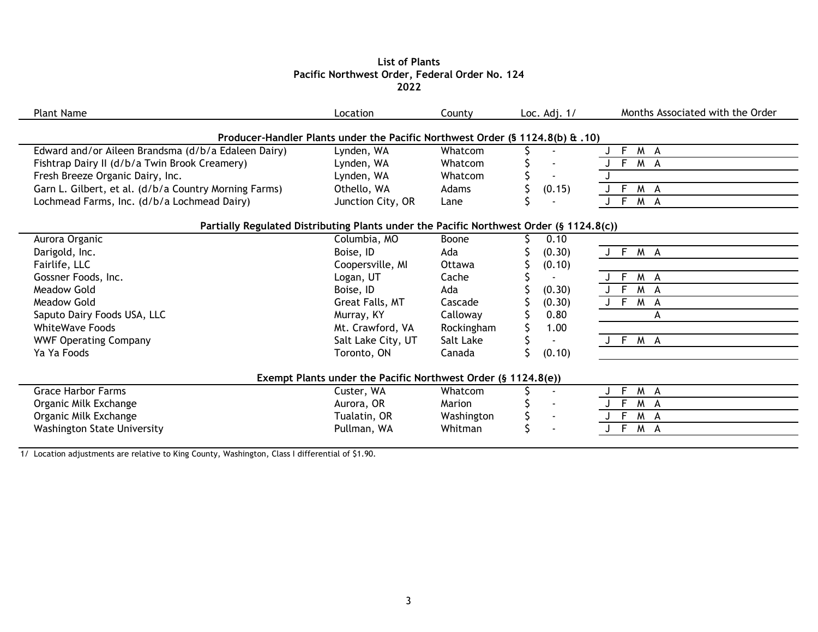## **List of Plants Pacific Northwest Order, Federal Order No. 124 2022**

| <b>Plant Name</b>                                                                       | Location                                                                      | County        | Loc. Adj. $1/$           | Months Associated with the Order |
|-----------------------------------------------------------------------------------------|-------------------------------------------------------------------------------|---------------|--------------------------|----------------------------------|
|                                                                                         |                                                                               |               |                          |                                  |
|                                                                                         | Producer-Handler Plants under the Pacific Northwest Order (§ 1124.8(b) & .10) |               |                          |                                  |
| Edward and/or Aileen Brandsma (d/b/a Edaleen Dairy)                                     | Lynden, WA                                                                    | Whatcom       |                          | F M A                            |
| Fishtrap Dairy II (d/b/a Twin Brook Creamery)                                           | Lynden, WA                                                                    | Whatcom       |                          | F M A                            |
| Fresh Breeze Organic Dairy, Inc.                                                        | Lynden, WA                                                                    | Whatcom       |                          |                                  |
| Garn L. Gilbert, et al. (d/b/a Country Morning Farms)                                   | Othello, WA                                                                   | <b>Adams</b>  | (0.15)                   | F M A                            |
| Lochmead Farms, Inc. (d/b/a Lochmead Dairy)                                             | Junction City, OR                                                             | Lane          |                          | F M A                            |
|                                                                                         |                                                                               |               |                          |                                  |
| Partially Regulated Distributing Plants under the Pacific Northwest Order (§ 1124.8(c)) |                                                                               |               |                          |                                  |
| Aurora Organic                                                                          | Columbia, MO                                                                  | Boone         | 0.10                     |                                  |
| Darigold, Inc.                                                                          | Boise, ID                                                                     | Ada           | (0.30)                   | J F M A                          |
| Fairlife, LLC                                                                           | Coopersville, MI                                                              | <b>Ottawa</b> | (0.10)                   |                                  |
| Gossner Foods, Inc.                                                                     | Logan, UT                                                                     | Cache         |                          | F M A                            |
| Meadow Gold                                                                             | Boise, ID                                                                     | Ada           | (0.30)                   | J F M A                          |
| <b>Meadow Gold</b>                                                                      | Great Falls, MT                                                               | Cascade       | (0.30)                   | J F M A                          |
| Saputo Dairy Foods USA, LLC                                                             | Murray, KY                                                                    | Calloway      | 0.80                     | A                                |
| <b>WhiteWave Foods</b>                                                                  | Mt. Crawford, VA                                                              | Rockingham    | 1.00                     |                                  |
| <b>WWF Operating Company</b>                                                            | Salt Lake City, UT                                                            | Salt Lake     |                          | J F M A                          |
| Ya Ya Foods                                                                             | Toronto, ON                                                                   | Canada        | (0.10)                   |                                  |
|                                                                                         |                                                                               |               |                          |                                  |
|                                                                                         | Exempt Plants under the Pacific Northwest Order (§ 1124.8(e))                 |               |                          |                                  |
| <b>Grace Harbor Farms</b>                                                               | Custer, WA                                                                    | Whatcom       | $\blacksquare$           | F M A                            |
| Organic Milk Exchange                                                                   | Aurora, OR                                                                    | Marion        | $\overline{\phantom{a}}$ | F.<br>M A                        |
| Organic Milk Exchange                                                                   | Tualatin, OR                                                                  | Washington    | $\blacksquare$           | F<br>M A                         |
| <b>Washington State University</b>                                                      | Pullman, WA                                                                   | Whitman       |                          | F<br>M A                         |
|                                                                                         |                                                                               |               |                          |                                  |

1/ Location adjustments are relative to King County, Washington, Class I differential of \$1.90.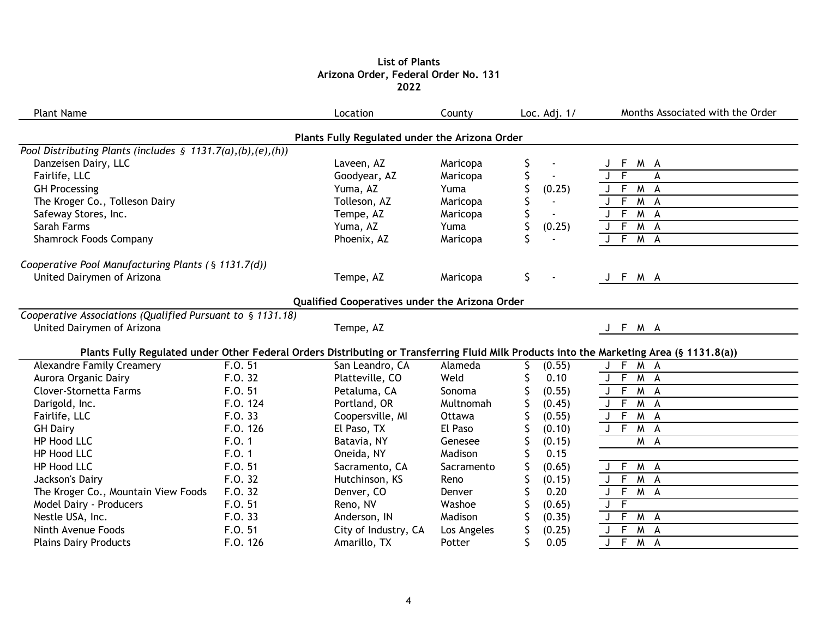# **List of Plants Arizona Order, Federal Order No. 131 2022**

| <b>Plant Name</b>                                              |          | Location                                       | County      | Loc. Adj. 1/         | Months Associated with the Order                                                                                                         |
|----------------------------------------------------------------|----------|------------------------------------------------|-------------|----------------------|------------------------------------------------------------------------------------------------------------------------------------------|
|                                                                |          | Plants Fully Regulated under the Arizona Order |             |                      |                                                                                                                                          |
| Pool Distributing Plants (includes $\S$ 1131.7(a),(b),(e),(h)) |          |                                                |             |                      |                                                                                                                                          |
| Danzeisen Dairy, LLC                                           |          | Laveen, AZ                                     | Maricopa    | \$                   | M A<br>F.                                                                                                                                |
| Fairlife, LLC                                                  |          | Goodyear, AZ                                   | Maricopa    | \$                   | F<br>A                                                                                                                                   |
| <b>GH Processing</b>                                           |          | Yuma, AZ                                       | Yuma        | (0.25)               | F.<br>M A                                                                                                                                |
| The Kroger Co., Tolleson Dairy                                 |          | Tolleson, AZ                                   | Maricopa    |                      | F.<br>M A                                                                                                                                |
| Safeway Stores, Inc.                                           |          | Tempe, AZ                                      | Maricopa    |                      | F M A                                                                                                                                    |
| Sarah Farms                                                    |          | Yuma, AZ                                       | Yuma        | (0.25)               | $J \overline{F}$<br>$M \land A$                                                                                                          |
| <b>Shamrock Foods Company</b>                                  |          | Phoenix, AZ                                    | Maricopa    | Ś                    | $J \overline{F}$<br>$M \Delta$                                                                                                           |
| Cooperative Pool Manufacturing Plants (§ 1131.7(d))            |          |                                                |             |                      |                                                                                                                                          |
| United Dairymen of Arizona                                     |          | Tempe, AZ                                      | Maricopa    | \$<br>$\blacksquare$ | J F M A                                                                                                                                  |
|                                                                |          | Qualified Cooperatives under the Arizona Order |             |                      |                                                                                                                                          |
| Cooperative Associations (Qualified Pursuant to § 1131.18)     |          |                                                |             |                      |                                                                                                                                          |
| United Dairymen of Arizona                                     |          | Tempe, AZ                                      |             |                      | J F M A                                                                                                                                  |
|                                                                |          |                                                |             |                      | Plants Fully Regulated under Other Federal Orders Distributing or Transferring Fluid Milk Products into the Marketing Area (§ 1131.8(a)) |
| <b>Alexandre Family Creamery</b>                               | F.O. 51  | San Leandro, CA                                | Alameda     | (0.55)               | F M A<br>J                                                                                                                               |
| Aurora Organic Dairy                                           | F.O. 32  | Platteville, CO                                | Weld        | 0.10                 | J F M A                                                                                                                                  |
| Clover-Stornetta Farms                                         | F.O. 51  | Petaluma, CA                                   | Sonoma      | (0.55)               | J F M A                                                                                                                                  |
| Darigold, Inc.                                                 | F.O. 124 | Portland, OR                                   | Multnomah   | (0.45)               | $J$ F<br>$M \Delta$                                                                                                                      |
| Fairlife, LLC                                                  | F.O. 33  | Coopersville, MI                               | Ottawa      | (0.55)               | $J$ F M A                                                                                                                                |
| <b>GH Dairy</b>                                                | F.O. 126 | El Paso, TX                                    | El Paso     | (0.10)               | $J$ F M A                                                                                                                                |
| HP Hood LLC                                                    | F.0.1    | Batavia, NY                                    | Genesee     | (0.15)               | M A                                                                                                                                      |
| HP Hood LLC                                                    | F.0.1    | Oneida, NY                                     | Madison     | 0.15                 |                                                                                                                                          |
| HP Hood LLC                                                    | F.O. 51  | Sacramento, CA                                 | Sacramento  | (0.65)               | J F M A                                                                                                                                  |
| Jackson's Dairy                                                | F.O. 32  | Hutchinson, KS                                 | Reno        | (0.15)               | J F M A                                                                                                                                  |
| The Kroger Co., Mountain View Foods                            | F.O. 32  | Denver, CO                                     | Denver      | 0.20                 | $J$ F<br>M A                                                                                                                             |
| Model Dairy - Producers                                        | F.O. 51  | Reno, NV                                       | Washoe      | (0.65)               | $\sqrt{F}$<br>J                                                                                                                          |
| Nestle USA, Inc.                                               | F.0.33   | Anderson, IN                                   | Madison     | (0.35)               | F.<br>M A<br>J                                                                                                                           |
| Ninth Avenue Foods                                             | F.O. 51  | City of Industry, CA                           | Los Angeles | \$<br>(0.25)         | $\overline{F}$<br>$M$ A<br>J                                                                                                             |
| <b>Plains Dairy Products</b>                                   | F.O. 126 | Amarillo, TX                                   | Potter      | \$<br>0.05           | $F$ M A                                                                                                                                  |